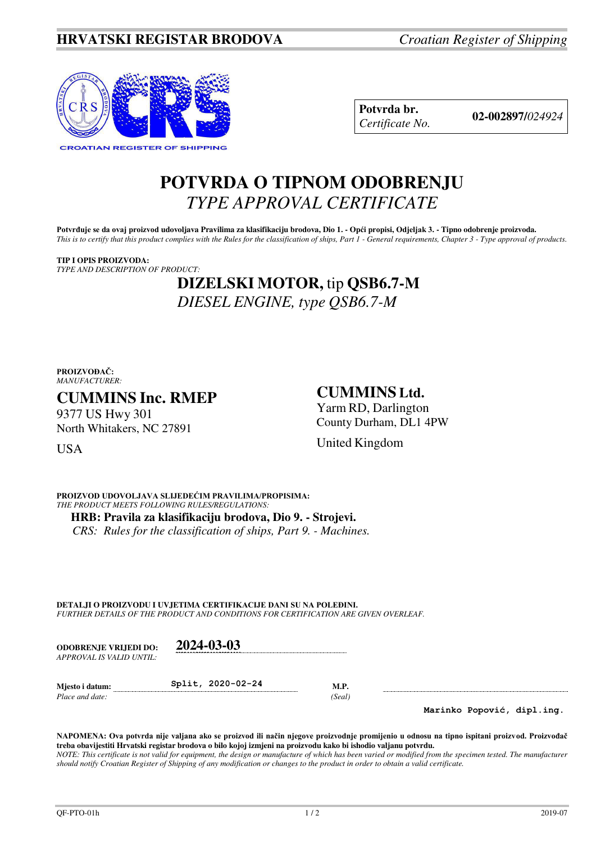

**Potvrda br. 02-002897/***<sup>024924</sup> Certificate No.* 

# **POTVRDA O TIPNOM ODOBRENJU**  *TYPE APPROVAL CERTIFICATE*

Potvrđuje se da ovaj proizvod udovoljava Pravilima za klasifikaciju brodova, Dio 1. - Opći propisi, Odjeljak 3. - Tipno odobrenje proizvoda. *This is to certify that this product complies with the Rules for the classification of ships, Part 1 - General requirements, Chapter 3 - Type approval of products.* 

**TIP I OPIS PROIZVODA:** *TYPE AND DESCRIPTION OF PRODUCT:* 

# **DIZELSKI MOTOR,** tip **QSB6.7-M** *DIESEL ENGINE, type QSB6.7-M*

#### **PROIZVOĐAČ:** *MANUFACTURER:*

## **CUMMINS Inc. RMEP**

9377 US Hwy 301 North Whitakers, NC 27891

## **CUMMINS Ltd.**

United Kingdom

Yarm RD, Darlington County Durham, DL1 4PW

**USA** 

**PROIZVOD UDOVOLJAVA SLIJEDEĆIM PRAVILIMA/PROPISIMA:** *THE PRODUCT MEETS FOLLOWING RULES/REGULATIONS:*  **HRB: Pravila za klasifikaciju brodova, Dio 9. - Strojevi.**

*CRS: Rules for the classification of ships, Part 9. - Machines.*

**DETALJI O PROIZVODU I UVJETIMA CERTIFIKACIJE DANI SU NA POLEĐINI.** *FURTHER DETAILS OF THE PRODUCT AND CONDITIONS FOR CERTIFICATION ARE GIVEN OVERLEAF.* 

| <b>ODOBRENJE VRLIEDI DO:</b> | 2024-03-03        |        |
|------------------------------|-------------------|--------|
| APPROVAL IS VALID UNTIL:     |                   |        |
| Miesto i datum:              | Split, 2020-02-24 | M.P.   |
| Place and date:              |                   | (Seal) |

**Marinko Popović, dipl.ing.**

**NAPOMENA: Ova potvrda nije valjana ako se proizvod ili način njegove proizvodnje promijenio u odnosu na tipno ispitani proizvod. Proizvođač treba obavijestiti Hrvatski registar brodova o bilo kojoj izmjeni na proizvodu kako bi ishodio valjanu potvrdu.**  *NOTE: This certificate is not valid for equipment, the design or manufacture of which has been varied or modified from the specimen tested. The manufacturer should notify Croatian Register of Shipping of any modification or changes to the product in order to obtain a valid certificate.*